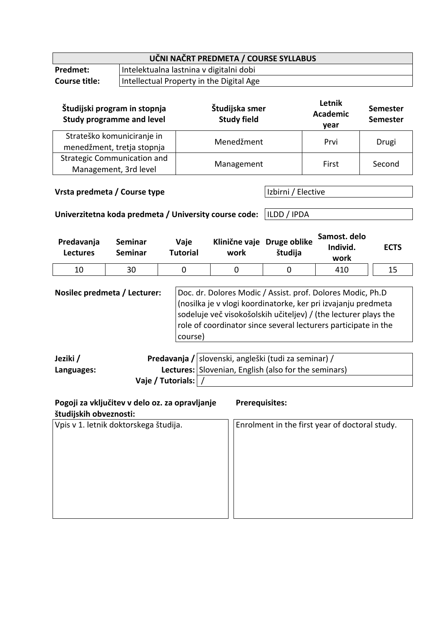| UČNI NAČRT PREDMETA / COURSE SYLLABUS |                                          |  |  |  |
|---------------------------------------|------------------------------------------|--|--|--|
| <b>Predmet:</b>                       | Intelektualna lastnina v digitalni dobi  |  |  |  |
| <b>Course title:</b>                  | Intellectual Property in the Digital Age |  |  |  |

| Študijski program in stopnja<br><b>Study programme and level</b> | Študijska smer<br><b>Study field</b> | Letnik<br><b>Academic</b><br>year | <b>Semester</b><br><b>Semester</b> |
|------------------------------------------------------------------|--------------------------------------|-----------------------------------|------------------------------------|
| Strateško komuniciranje in<br>menedžment, tretja stopnja         | Menedžment                           | Prvi                              | Drugi                              |
| <b>Strategic Communication and</b><br>Management, 3rd level      | Management                           | First                             | Second                             |

**Vrsta predmeta / Course type Izbirni / Elective** 

**Univerzitetna koda predmeta / University course code:** ILDD / IPDA

| Predavanja<br><b>Lectures</b> | Seminar<br><b>Seminar</b> | Vaje<br><b>Tutorial</b> | work | Klinične vaje Druge oblike<br>študija | Samost. delo<br>Individ.<br>work | <b>ECTS</b> |
|-------------------------------|---------------------------|-------------------------|------|---------------------------------------|----------------------------------|-------------|
| 10                            | 30                        |                         |      |                                       | 410                              | 15          |

**Nosilec predmeta / Lecturer:** | Doc. dr. Dolores Modic / Assist. prof. Dolores Modic, Ph.D (nosilka je v vlogi koordinatorke, ker pri izvajanju predmeta sodeluje več visokošolskih učiteljev) / (the lecturer plays the role of coordinator since several lecturers participate in the course)

| Jeziki /   |                       | Predavanja / slovenski, angleški (tudi za seminar) / |
|------------|-----------------------|------------------------------------------------------|
| Languages: |                       | Lectures: Slovenian, English (also for the seminars) |
|            | Vaje / Tutorials:   / |                                                      |

| Pogoji za vključitev v delo oz. za opravljanje<br>študijskih obveznosti: | <b>Prerequisites:</b>                          |
|--------------------------------------------------------------------------|------------------------------------------------|
| Vpis v 1. letnik doktorskega študija.                                    | Enrolment in the first year of doctoral study. |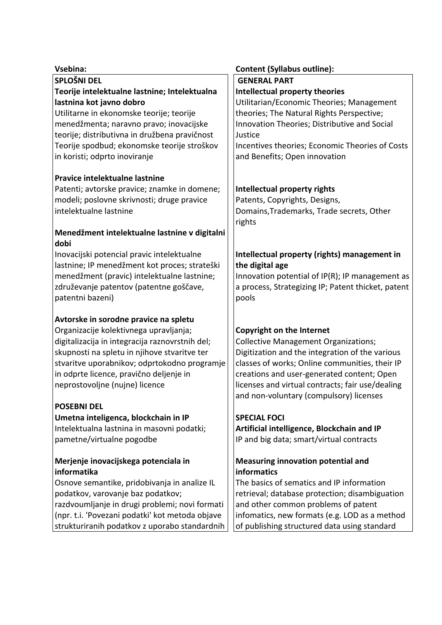| Vsebina:                                        | <b>Content (Syllabus outline):</b>                 |
|-------------------------------------------------|----------------------------------------------------|
| <b>SPLOŠNI DEL</b>                              | <b>GENERAL PART</b>                                |
| Teorije intelektualne lastnine; Intelektualna   | <b>Intellectual property theories</b>              |
| lastnina kot javno dobro                        | Utilitarian/Economic Theories; Management          |
| Utilitarne in ekonomske teorije; teorije        | theories; The Natural Rights Perspective;          |
| menedžmenta; naravno pravo; inovacijske         | Innovation Theories; Distributive and Social       |
| teorije; distributivna in družbena pravičnost   | Justice                                            |
| Teorije spodbud; ekonomske teorije stroškov     | Incentives theories; Economic Theories of Costs    |
| in koristi; odprto inoviranje                   | and Benefits; Open innovation                      |
| Pravice intelektualne lastnine                  |                                                    |
| Patenti; avtorske pravice; znamke in domene;    | Intellectual property rights                       |
| modeli; poslovne skrivnosti; druge pravice      | Patents, Copyrights, Designs,                      |
| intelektualne lastnine                          | Domains, Trademarks, Trade secrets, Other          |
|                                                 | rights                                             |
| Menedžment intelektualne lastnine v digitalni   |                                                    |
| dobi                                            |                                                    |
| Inovacijski potencial pravic intelektualne      | Intellectual property (rights) management in       |
| lastnine; IP menedžment kot proces; strateški   | the digital age                                    |
| menedžment (pravic) intelektualne lastnine;     | Innovation potential of IP(R); IP management as    |
| združevanje patentov (patentne goščave,         | a process, Strategizing IP; Patent thicket, patent |
| patentni bazeni)                                | pools                                              |
| Avtorske in sorodne pravice na spletu           |                                                    |
| Organizacije kolektivnega upravljanja;          | <b>Copyright on the Internet</b>                   |
| digitalizacija in integracija raznovrstnih del; | <b>Collective Management Organizations;</b>        |
| skupnosti na spletu in njihove stvaritve ter    | Digitization and the integration of the various    |
| stvaritve uporabnikov; odprtokodno programje    | classes of works; Online communities, their IP     |
| in odprte licence, pravično deljenje in         | creations and user-generated content; Open         |
| neprostovoljne (nujne) licence                  | licenses and virtual contracts; fair use/dealing   |
|                                                 | and non-voluntary (compulsory) licenses            |
| <b>POSEBNI DEL</b>                              |                                                    |
| Umetna inteligenca, blockchain in IP            | <b>SPECIAL FOCI</b>                                |
| Intelektualna lastnina in masovni podatki;      | Artificial intelligence, Blockchain and IP         |
| pametne/virtualne pogodbe                       | IP and big data; smart/virtual contracts           |
| Merjenje inovacijskega potenciala in            | <b>Measuring innovation potential and</b>          |
| informatika                                     | informatics                                        |
| Osnove semantike, pridobivanja in analize IL    | The basics of sematics and IP information          |
| podatkov, varovanje baz podatkov;               | retrieval; database protection; disambiguation     |
| razdvoumljanje in drugi problemi; novi formati  | and other common problems of patent                |
| (npr. t.i. 'Povezani podatki' kot metoda objave | infomatics, new formats (e.g. LOD as a method      |
| strukturiranih podatkov z uporabo standardnih   | of publishing structured data using standard       |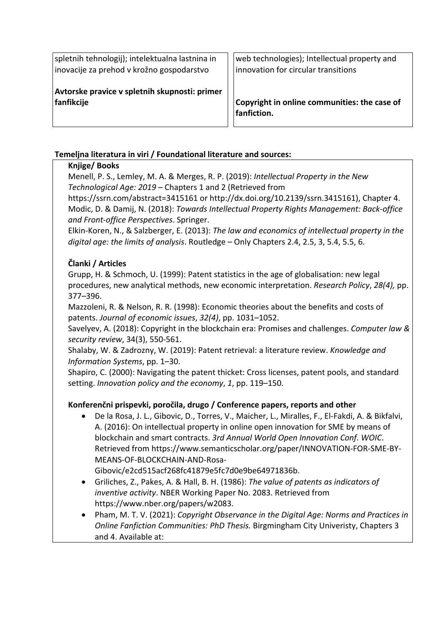spletnih tehnologij); intelektualna lastnina in inovacije za prehod v krožno gospodarstvo

**Avtorske pravice v spletnih skupnosti: primer fanfikcije**

web technologies); Intellectual property and innovation for circular transitions

**Copyright in online communities: the case of fanfiction.**

### **Temeljna literatura in viri / Foundational literature and sources:**

#### **Knjige/ Books**

Menell, P. S., Lemley, M. A. & Merges, R. P. (2019): *Intellectual Property in the New Technological Age: 2019* – Chapters 1 and 2 (Retrieved from

https://ssrn.com/abstract=3415161 or http://dx.doi.org/10.2139/ssrn.3415161), Chapter 4. Modic, D. & Damij, N. (2018): *Towards Intellectual Property Rights Management: Back-office and Front-office Perspectives*. Springer.

Elkin-Koren, N., & Salzberger, E. (2013): *The law and economics of intellectual property in the digital age: the limits of analysis*. Routledge – Only Chapters 2.4, 2.5, 3, 5.4, 5.5, 6.

#### **Članki / Articles**

Grupp, H. & Schmoch, U. (1999): Patent statistics in the age of globalisation: new legal procedures, new analytical methods, new economic interpretation. *Research Policy*, *28(4),* pp. 377–396.

Mazzoleni, R. & Nelson, R. R. (1998): Economic theories about the benefits and costs of patents. *Journal of economic issues*, *32(4)*, pp. 1031–1052.

Savelyev, A. (2018): Copyright in the blockchain era: Promises and challenges. *Computer law & security review*, 34(3), 550-561.

Shalaby, W. & Zadrozny, W. (2019): Patent retrieval: a literature review. *Knowledge and Information Systems*, pp. 1–30.

Shapiro, C. (2000): Navigating the patent thicket: Cross licenses, patent pools, and standard setting. *Innovation policy and the economy*, *1*, pp. 119–150.

#### **Konferenčni prispevki, poročila, drugo / Conference papers, reports and other**

• De la Rosa, J. L., Gibovic, D., Torres, V., Maicher, L., Miralles, F., El-Fakdi, A. & Bikfalvi, A. (2016): On intellectual property in online open innovation for SME by means of blockchain and smart contracts. *3rd Annual World Open Innovation Conf. WOIC*. Retrieved from https://www.semanticscholar.org/paper/INNOVATION-FOR-SME-BY-MEANS-OF-BLOCKCHAIN-AND-Rosa-

Gibovic/e2cd515acf268fc41879e5fc7d0e9be64971836b.

- Griliches, Z., Pakes, A. & Hall, B. H. (1986): *The value of patents as indicators of inventive activity*. NBER Working Paper No. 2083. Retrieved from https://www.nber.org/papers/w2083.
- Pham, M. T. V. (2021): *Copyright Observance in the Digital Age: Norms and Practices in Online Fanfiction Communities: PhD Thesis.* Birgmingham City Univeristy, Chapters 3 and 4. Available at: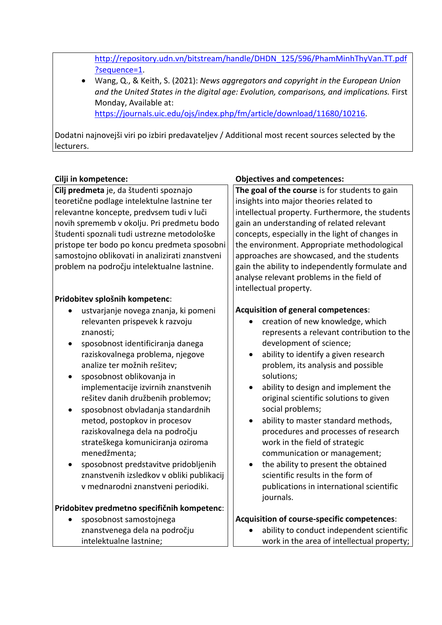http://repository.udn.vn/bitstream/handle/DHDN\_125/596/PhamMinhThyVan.TT.pdf ?sequence=1.

• Wang, Q., & Keith, S. (2021): *News aggregators and copyright in the European Union and the United States in the digital age: Evolution, comparisons, and implications.* First Monday, Available at: https://journals.uic.edu/ojs/index.php/fm/article/download/11680/10216.

Dodatni najnovejši viri po izbiri predavateljev / Additional most recent sources selected by the lecturers.

**Cilj predmeta** je, da študenti spoznajo teoretične podlage intelektulne lastnine ter relevantne koncepte, predvsem tudi v luči novih sprememb v okolju. Pri predmetu bodo študenti spoznali tudi ustrezne metodološke pristope ter bodo po koncu predmeta sposobni samostojno oblikovati in analizirati znanstveni problem na področju intelektualne lastnine.

#### **Pridobitev splošnih kompetenc**:

- ustvarjanje novega znanja, ki pomeni relevanten prispevek k razvoju znanosti;
- sposobnost identificiranja danega raziskovalnega problema, njegove analize ter možnih rešitev;
- sposobnost oblikovanja in implementacije izvirnih znanstvenih rešitev danih družbenih problemov;
- sposobnost obvladanja standardnih metod, postopkov in procesov raziskovalnega dela na področju strateškega komuniciranja oziroma menedžmenta;
- sposobnost predstavitve pridobljenih znanstvenih izsledkov v obliki publikacij v mednarodni znanstveni periodiki.

#### **Pridobitev predmetno specifičnih kompetenc**:

• sposobnost samostojnega znanstvenega dela na področju intelektualne lastnine;

### **Cilji in kompetence: Objectives and competences:**

**The goal of the course** is for students to gain insights into major theories related to intellectual property. Furthermore, the students gain an understanding of related relevant concepts, especially in the light of changes in the environment. Appropriate methodological approaches are showcased, and the students gain the ability to independently formulate and analyse relevant problems in the field of intellectual property.

### **Acquisition of general competences**:

- creation of new knowledge, which represents a relevant contribution to the development of science;
- ability to identify a given research problem, its analysis and possible solutions;
- ability to design and implement the original scientific solutions to given social problems;
- ability to master standard methods, procedures and processes of research work in the field of strategic communication or management;
- the ability to present the obtained scientific results in the form of publications in international scientific journals.

## **Acquisition of course-specific competences**:

• ability to conduct independent scientific work in the area of intellectual property;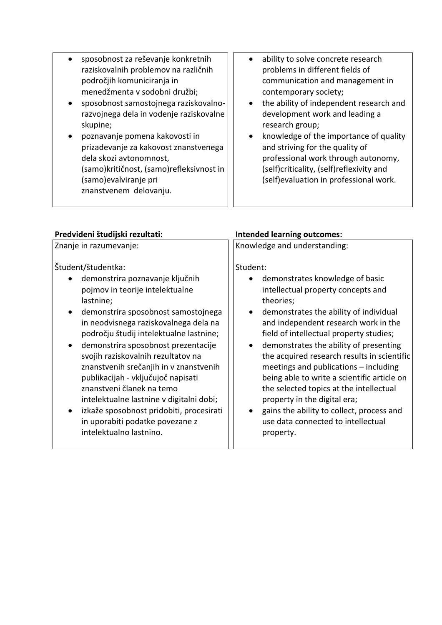| sposobnost za reševanje konkretnih       | ability to solve concrete research       |
|------------------------------------------|------------------------------------------|
| raziskovalnih problemov na različnih     | problems in different fields of          |
| področjih komuniciranja in               | communication and management in          |
| menedžmenta v sodobni družbi;            | contemporary society;                    |
| sposobnost samostojnega raziskovalno-    | the ability of independent research and  |
| razvojnega dela in vodenje raziskovalne  | $\bullet$                                |
| skupine;                                 | development work and leading a           |
| poznavanje pomena kakovosti in           | research group;                          |
| $\bullet$                                | knowledge of the importance of quality   |
| prizadevanje za kakovost znanstvenega    | $\bullet$                                |
| dela skozi avtonomnost,                  | and striving for the quality of          |
| (samo)kritičnost, (samo)refleksivnost in | professional work through autonomy,      |
| (samo) evalviranje pri                   | (self)criticality, (self)reflexivity and |
| znanstvenem delovanju.                   | (self) evaluation in professional work.  |

# **Predvideni študijski rezultati: Intended learning outcomes:**

| Znanje in razumevanje:                   | Knowledge and understanding:                |  |  |
|------------------------------------------|---------------------------------------------|--|--|
| Študent/študentka:                       | Student:                                    |  |  |
| demonstrira poznavanje ključnih          | demonstrates knowledge of basic             |  |  |
| pojmov in teorije intelektualne          | intellectual property concepts and          |  |  |
| lastnine;                                | theories;                                   |  |  |
| demonstrira sposobnost samostojnega      | demonstrates the ability of individual      |  |  |
| $\bullet$                                | $\bullet$                                   |  |  |
| in neodvisnega raziskovalnega dela na    | and independent research work in the        |  |  |
| področju študij intelektualne lastnine;  | field of intellectual property studies;     |  |  |
| demonstrira sposobnost prezentacije      | demonstrates the ability of presenting      |  |  |
| ٠                                        | $\bullet$                                   |  |  |
| svojih raziskovalnih rezultatov na       | the acquired research results in scientific |  |  |
| znanstvenih srečanjih in v znanstvenih   | meetings and publications - including       |  |  |
| publikacijah - vključujoč napisati       | being able to write a scientific article on |  |  |
| znanstveni članek na temo                | the selected topics at the intellectual     |  |  |
| intelektualne lastnine v digitalni dobi; | property in the digital era;                |  |  |
| izkaže sposobnost pridobiti, procesirati | gains the ability to collect, process and   |  |  |
| $\bullet$                                | ٠                                           |  |  |
| in uporabiti podatke povezane z          | use data connected to intellectual          |  |  |
| intelektualno lastnino.                  | property.                                   |  |  |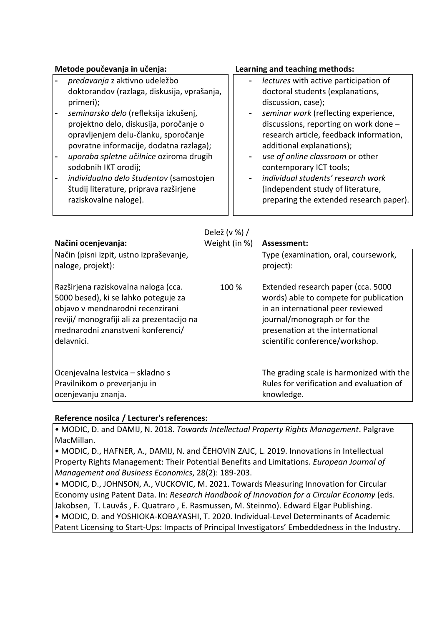| Metode poučevanja in učenja:                | Learning and teaching methods:          |
|---------------------------------------------|-----------------------------------------|
| predavanja z aktivno udeležbo               | lectures with active participation of   |
| doktorandov (razlaga, diskusija, vprašanja, | doctoral students (explanations,        |
| primeri);                                   | discussion, case);                      |
| seminarsko delo (refleksija izkušenj,       | - seminar work (reflecting experience,  |
| projektno delo, diskusija, poročanje o      | discussions, reporting on work done -   |
| opravljenjem delu-članku, sporočanje        | research article, feedback information, |
| povratne informacije, dodatna razlaga);     | additional explanations);               |
| uporaba spletne učilnice oziroma drugih     | use of online classroom or other        |
| sodobnih IKT orodij;                        | contemporary ICT tools;                 |
| individualno delo študentov (samostojen     | individual students' research work      |
| študij literature, priprava razširjene      | (independent study of literature,       |
| raziskovalne naloge).                       | preparing the extended research paper). |

Delež (v %) /

| Načini ocenjevanja:                                                                                                                                                                                               | Weight (in %) | Assessment:                                                                                                                                                                                                              |
|-------------------------------------------------------------------------------------------------------------------------------------------------------------------------------------------------------------------|---------------|--------------------------------------------------------------------------------------------------------------------------------------------------------------------------------------------------------------------------|
| Način (pisni izpit, ustno izpraševanje,<br>naloge, projekt):                                                                                                                                                      |               | Type (examination, oral, coursework,<br>project):                                                                                                                                                                        |
| Razširjena raziskovalna naloga (cca.<br>5000 besed), ki se lahko poteguje za<br>objavo v mendnarodni recenzirani<br>reviji/ monografiji ali za prezentacijo na<br>mednarodni znanstveni konferenci/<br>delavnici. | $100\%$       | Extended research paper (cca. 5000<br>words) able to compete for publication<br>in an international peer reviewed<br>journal/monograph or for the<br>presenation at the international<br>scientific conference/workshop. |
| Ocenjevalna lestvica – skladno s<br>Pravilnikom o preverjanju in<br>ocenjevanju znanja.                                                                                                                           |               | The grading scale is harmonized with the<br>Rules for verification and evaluation of<br>knowledge.                                                                                                                       |

#### **Reference nosilca / Lecturer's references:**

• MODIC, D. and DAMIJ, N. 2018. *Towards Intellectual Property Rights Management*. Palgrave MacMillan.

• MODIC, D., HAFNER, A., DAMIJ, N. and ČEHOVIN ZAJC, L. 2019. Innovations in Intellectual Property Rights Management: Their Potential Benefits and Limitations. *European Journal of Management and Business Economics*, 28(2): 189-203.

• MODIC, D., JOHNSON, A., VUCKOVIC, M. 2021. Towards Measuring Innovation for Circular Economy using Patent Data. In: *Research Handbook of Innovation for a Circular Economy* (eds. Jakobsen, T. Lauvås , F. Quatraro , E. Rasmussen, M. Steinmo). Edward Elgar Publishing. • MODIC, D. and YOSHIOKA-KOBAYASHI, T. 2020. Individual-Level Determinants of Academic Patent Licensing to Start-Ups: Impacts of Principal Investigators' Embeddedness in the Industry.